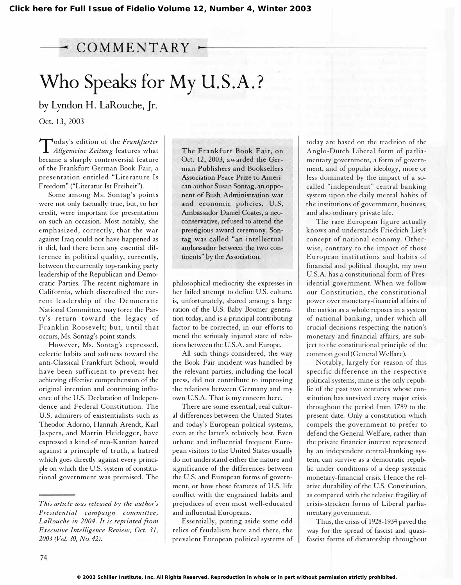## $\sim$  COMMENTARY  $\sim$

# Who Speaks for My U.S.A.?

by Lyndon H. laRouche, Jr. Oct. 13, 2003

Allgemeine Zeitung features what **Today's edition of the Frankfurter** became a sharply controversial feature of the Frankfurt German Book Fair, a presentation entitled "Literature Is Freedom" ("Literatur 1st Freiheit").

Some among Ms. Sontag's points were not only factually true, but, to her credit, were important for presentation on such an occasion. Most notably, she emphasized, correctly, that the war against Iraq could not have happened as it did, had there been any essential difference in political quality, currently, between the currently top-ranking party leadership of the Republican and Democratic Parties. The recent nightmare in California, which discredited the current leadership of the Democratic National Committee, may force the Party's return toward the legacy of Franklin Roosevelt; but, until that occurs, Ms. Sontag's point stands.

However, Ms. Sontag's expressed, eclectic habits and softness toward the anti-Classical Frankfurt School, would have been sufficient to prevent her achieving effective comprehension of the original intention and continuing influence of the U.S. Declaration of Independence and Federal Constitution. The U.S. admirers of existentialists such as Theodor Adorno, Hannah Arendt, Karl Jaspers, and Martin Heidegger, have expressed a kind of neo-Kantian hatred against a principle of truth, a hatred which goes directly against every principle on which the U.S. system of constitutional government was premised. The The Frankfurt Book Fair, on Oct. 12, 2003, awarded the German Publishers and Booksellers Association Peace Prize to American author Susan Sontag, an opponent of Bush Administration war and economic policies. U.S. Ambassador Daniel Coates, a neoconservative, refused to attend the prestigious award ceremony. Sontag was called "an intellectual ambassador between the two continents" by the Association.

philosophical mediocrity she expresses in her failed attempt to define U.S. culture, is, unfortunately, shared among a large ration of the U.S. Baby Boomer generation today, and is a principal contributing factor to be corrected, in our efforts to mend the seriously injured state of relations between the U.S.A. and Europe.

All such things considered, the way the Book Fair incident was handled by the relevant parties, including the local press, did not contribute to improving the relations between Germany and my own U.S.A. That is my concern here.

There are some essential, real cultural differences between the United States and today's European political systems, even at the latter's relatively best. Even urbane and influential frequent European visitors to the United States usually do not understand either the nature and significance of the differences between the U.S. and European forms of government, or how those features of U.S. life conflict with the engrained habits and prejudices of even most well-educated and influential Europeans.

Essentially, putting aside some odd relics of feudalism here and there, the prevalent European political systems of

today are based on the tradition of the Anglo-Dutch Liberal form of parliamentary government, a form of government, and of popular ideology, more or less dominated by the impact of a socalled "independent" central banking system upon the daily mental habits of the institutions of government, business, and also ordinary private life.

The rare European figure actually knows and understands Friedrich List's concept of national economy. Otherwise, contrary to the impact of those Eu ropean institutions and habits of financial and political thought, my own U.S.A. has a constitutional form of Presidential government. When we follow our Constitution, the constitutional power over monetary-financial affairs of the nation as a whole reposes in a system of national banking, under which all crucial decisions respecting the nation's monetary and financial affairs, are subject to the constitutional principle of the common good (General Welfare).

Notably, largely for reason of this specific difference in the respective political systems, mine is the only republic of the past two centuries whose constitution has survived every major crisis throughout the period from 1789 to the present date. Only a constitution which compels the government to prefer to defend the General Welfare, rather than the private financier interest represented by an independent central-banking system, can survive as a democratic republic under conditions of a deep systemic monetary-financial crisis. Hence the relative durability of the U.S. Constitution, as compared with the relative fragility of crisis-stricken forms of Liberal parliamentary government.

Thus, the crisis of 1928-1934 paved the way for the spread of fascist and quasifascist forms of dictatorship throughout

This article was released by the author's Presidential campaign committee, LaRouche in 2004. It is reprinted from Executive Intelligence Review, Oct. 31, 2003 (Vol. 30, No. 42).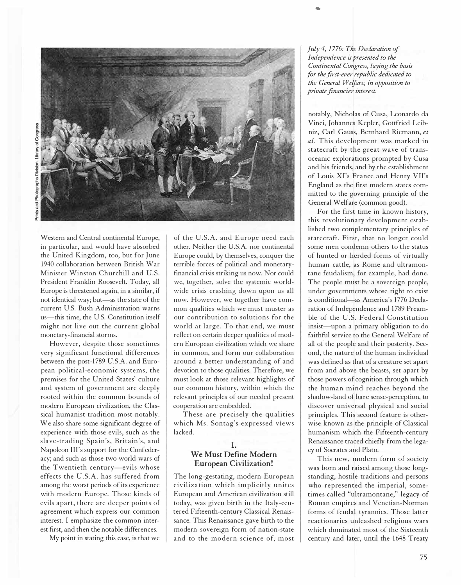

Western and Central continental Europe, in particular, and would have absorbed the United Kingdom, too, but for June 1940 collaboration between British War Minister Winston Churchill and U.s. President Franklin Roosevelt. Today, all Europe is threatened again, in a similar, if not identical way; but-as the state of the current U.S. Bush Administration warns us-this time, the U.S. Constitution itself might not live out the current global monetary-financial storms.

However, despite those sometimes very significant functional differences between the post-1789 U.S.A. and European political-economic systems, the premises for the United States' culture and system of government are deeply rooted within the common bounds of modern European civilization, the Classical humanist tradition most notably. We also share some significant degree of experience with those evils, such as the slave-trading Spain's, Britain's, and Napoleon Ill's support for the Confederacy; and such as those two world wars of the Twentieth century-evils whose effects the U.S.A. has suffered from among the worst periods of its experience with modern Europe. Those kinds of evils apart, there are deeper points of agreement which express our common interest. I emphasize the common interest first, and then the notable differences.

My point in stating this case, is that we

of the U.S.A. and Europe need each other. Neither the U.S.A. nor continental Europe could, by themselves, conquer the terrible forces of political and monetaryfinancial crisis striking us now. Nor could we, together, solve the systemic worldwide crisis crashing down upon us all now. However, we together have common qualities which we must muster as our contribution to solutions for the world at large. To that end, we must reflect on certain deeper qualities of modern European civilization which we share in common, and form our collaboration around a better understanding of and devotion to those qualities. Therefore, we must look at those relevant highlights of our common history, within which the relevant principles of our needed present cooperation are embedded.

These are precisely the qualities which Ms. Sontag's expressed views lacked.

#### 1. We Must Define Modern European Civilization!

The long-gestating, modern European civilization which implicitly unites European and American civilization still today, was given birth in the Italy-centered Fifteenth-century Classical Renaissance. This Renaissance gave birth to the modern sovereign form of nation-state and to the modern science of, most

July 4, 1 776: The Declaration of Independence is presented to the Continental Congress, laying the basis for the first-ever republic dedicated to the General Welfare, in opposition to private financier interest.

..

notably, Nicholas of Cusa, Leonardo da Vinci, Johannes Kepler, Gottfried Leibniz, Carl Gauss, Bernhard Riemann, et al. This development was marked in statecraft by the great wave of transoceanic explorations prompted by Cusa and his friends, and by the establishment of Louis Xl's France and Henry VII's England as the first modern states committed to the governing principle of the General Welfare (common good).

For the first time in known history, this revolutionary development established two complementary principles of statecraft. First, that no longer could some men condemn others to the status of hunted or herded forms of virtually human cattle, as Rome and ultramontane feudalism, for example, had done. The people must be a sovereign people, under governments whose right to exist is conditional-as America's 1776 Declaration of Independence and 1789 Preamble of the U.S. Federal Constitution insist-upon a primary obligation to do faithful service to the General Welfare of all of the people and their posterity. Second, the nature of the human individual was defined as that of a creature set apart from and above the beasts, set apart by those powers of cognition through which the human mind reaches beyond the shadow-land of bare sense-perception, to discover universal physical and social principles. This second feature is otherwise known as the principle of Classical humanism which the Fifteenth-century Renaissance traced chiefly from the legacy of Socrates and Plato.

This new, modern form of society was born and raised among those longstanding, hostile traditions and persons who represented the imperial, sometimes called "ultramontane," legacy of Roman empires and Venetian-Norman forms of feudal tyrannies. Those latter reactionaries unleashed religious wars which dominated most of the Sixteenth century and later, until the 1648 Treaty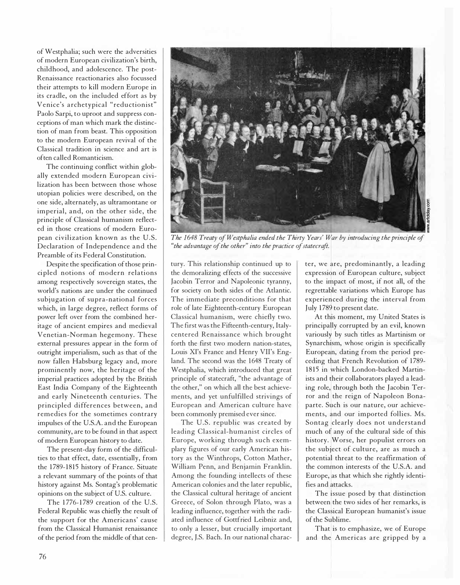of Westphalia; such were the adversities of modern European civilization's birth, childhood, and adolescence. The post-Renaissance reactionaries also focussed their attempts to kill modern Europe in its cradle, on the included effort as by Venice's archetypical "reductionist" Paolo Sarpi, to uproot and suppress conceptions of man which mark the distinction of man from beast. This opposition to the modern European revival of the Classical tradition in science and art is often called Romanticism.

The continuing conflict within globally extended modern European civilization has been between those whose utopian policies were described, on the one side, alternately, as ultramontane or imperial, and, on the other side, the principle of Classical humanism reflected in those creations of modern European civilization known as the U.S. Declaration of Independence and the Preamble of its Federal Constitution.

Despite the specification of those princi pled notions of modern relations among respectively sovereign states, the world's nations are under the continued subjugation of supra-national forces which, in large degree, reflect forms of power left over from the combined heritage of ancient empires and medieval Venetian-Norman hegemony. These external pressures appear in the form of outright imperialism, such as that of the now fallen Habsburg legacy and, more prominently now, the heritage of the imperial practices adopted by the British East India Company of the Eighteenth and early Nineteenth centuries. The principled differences between, and remedies for the sometimes contrary impulses of the U.S.A. and the European community, are to be found in that aspect of modern European history to date.

The present-day form of the difficulties to that effect, date, essentially, from the 1789-1815 history of France. Situate a relevant summary of the points of that history against Ms. Sontag's problematic opinions on the subject of U.S. culture.

The 1776-1789 creation of the U.S. Federal Republic was chiefly the result of the support for the Americans' cause from the Classical Humanist renaissance of the period from the middle of that cen-



The 1648 Treaty of Westphalia ended the Thirty Years' War by introducing the principle of "the advantage of the other" into the practice of statecraft.

tury. This relationship continued up to the demoralizing effects of the successive Jacobin Terror and Napoleonic tyranny, for society on both sides of the Atlantic. The immediate preconditions for that role of late Eighteenth-century European Classical humanism, were chiefly two. The first was the Fifteenth-century, Italycentered Renaissance which brought forth the first two modern nation-states, Louis Xl's France and Henry VII's England. The second was the 1648 Treaty of Westphalia, which introduced that great principle of statecraft, "the advantage of the other," on which all the best achievements, and yet unfulfilled strivings of European and American culture have been commonly premised ever since.

The U.S. republic was created by leading Classical-humanist circles of Europe, working through such exemplary figures of our early American history as the Winthrops, Cotton Mather, William Penn, and Benjamin Franklin. Among the founding intellects of these American colonies and the later republic, the Classical cultural heritage of ancient Greece, of Solon through Plato, was a leading influence, together with the radiated influence of Gottfried Leibniz and, to only a lesser, but crucially important degree, J.S. Bach. In our national character, we are, predominantly, a leading expression of European culture, subject to the impact of most, if not all, of the regrettable variations which Europe has experienced during the interval from July 1789 to present date.

At this moment, my United States is principally corrupted by an evil, known variously by such titles as Martinism or Synarchism, whose origin is specifically European, dating from the period preceding that French Revolution of 1789-1815 in which London-backed Martinists and their collaborators played a leading role, through both the Jacobin Terror and the reign of Napoleon Bonaparte. Such is our nature, our achievements, and our imported follies. Ms. Sontag clearly does not understand much of any of the cultural side of this history. Worse, her populist errors on the subject of culture, are as much a potential threat to the reaffirmation of the common interests of the U.S.A. and Europe, as that which she rightly identifies and attacks.

The issue posed by that distinction between the two sides of her remarks, is the Classical European humanist's issue of the Sublime.

That is to emphasize, we of Europe and the Americas are gripped by a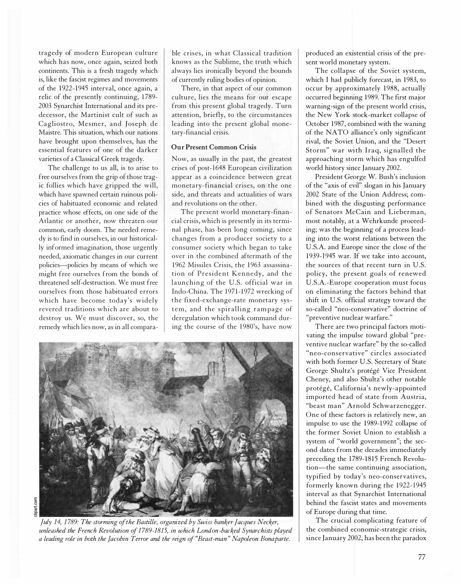tragedy of modern European culture which has now, once again, seized both continents. This is a fresh tragedy which is, like the fascist regimes and movements of the 1922-1945 interval, once again, a relic of the presently continuing, 1789-2003 Synarchist International and its predecessor, the Martinist cult of such as Cagliostro, Mesmer, and Joseph de Maistre. This situation, which our nations have brought upon themselves, has the essential features of one of the darker varieties of a Classical Greek tragedy.

The challenge to us all, is to arise to free ourselves from the grip of those tragic follies which have gripped the will, which have spawned certain ruinous policies of habituated economic and related practice whose effects, on one side of the Atlantic or another, now threaten our common, early doom. The needed remedy is to find in ourselves, in our historically informed imagination, those urgently needed, axiomatic changes in our current policies-policies by means of which we might free ourselves from the bonds of threatened self-destruction. We must free ourselves from those habituated errors which have become today's widely revered traditions which are about to destroy us. We must discover, so, the remedy which lies now, as in all compara-

ble crises, in what Classical tradition knows as the Sublime, the truth which always lies ironically beyond the bounds of currently ruling bodies of opinion.

There, in that aspect of our common culture, lies the means for our escape from this present global tragedy. Turn attention, briefly, to the circumstances leading into the present global monetary-financial crisis.

#### Our Present Common Crisis

Now, as usually in the past, the greatest crises of post-1648 European civilization appear as a coincidence between great monetary-financial crises, on the one side, and threats and actualities of wars and revolutions on the other.

The present world monetary-financial crisis, which is presently in its terminal phase, has been long coming, since changes from a producer society to a consumer society which began to take over in the combined aftermath of the 1962 Missiles Crisis, the 1963 assassination of President Kennedy, and the launching of the U.S. official war in Indo-China. The 1971-1972 wrecking of the fixed-exchange-rate monetary system, and the spiralling ram page of deregulation which took command during the course of the 1980's, have now



July 14, 1 789: The storming of the Bastille, organized by Swiss banker Jacques Necker, unleashed the French Revolution of 1789-1815, in which London-backed Synarchists played a leading role in both the Jacobin Terror and the reign of "Beast-man " Napoleon Bonaparte.

produced an existential crisis of the present world monetary system.

The collapse of the Soviet system, which I had publicly forecast, in 1983, to occur by approximately 1988, actually occurred beginning 1 989. The first major warning-sign of the present world crisis, the New York stock-market collapse of October 1987, combined with the waning of the NATO alliance's only significant rival, the Soviet Union, and the "Desert Storm" war with Iraq, signalled the approaching storm which has engulfed world history since January 2002.

President George W. Bush's inclusion of the "axis of evil" slogan in his January 2002 State of the Union Address; combined with the disgusting performance of Senators McCain and Lieberman, most notably, at a Wehrkunde proceeding; was the beginning of a process leading into the worst relations between the U.S.A. and Europe since the close of the 1939-1945 war. If we take into account the sources of that recent turn in U.S. policy, the present goals of renewed U.s.A.-Europe cooperation must focus on eliminating the factors behind that shift in U.S. official strategy toward the so-called "neo-conservative" doctrine of "preventive nuclear warfare."

There are two principal factors motivating the impulse toward global "preventive nuclear warfare" by the so-called "neo-conservative" circles associated with both former U.S. Secretary of State George Shultz's protégé Vice President Cheney, and also Shultz's other notable protégé, California's newly-appointed imported head of state from Austria, "beast man" Arnold Schwarzenegger. One of these factors is relatively new, an impulse to use the 1989-1992 collapse of the former Soviet Union to establish a system of "world government"; the second dates from the decades immediately preceding the 1789-1815 French Revolution-the same continuing association, typified by today's neo-conservatives, formerly known during the 1922-1945 interval as that Synarchist International behind the fascist states and movements of Europe during that time.

The crucial complicating feature of the combined economic-strategic crisis, since January 2002, has been the paradox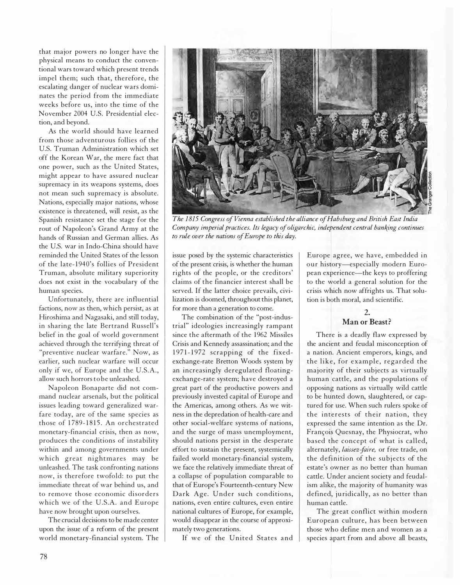that major powers no longer have the physical means to conduct the conventional wars toward which present trends impel them; such that, therefore, the escalating danger of nuclear wars dominates the period from the immediate weeks before us, into the time of the November 2004 U.S. Presidential election, and beyond.

As the world should have learned from those adventurous follies of the U.S. Truman Administration which set off the Korean War, the mere fact that one power, such as the United States, might appear to have assured nuclear supremacy in its weapons systems, does not mean such supremacy is absolute. Nations, especially major nations, whose existence is threatened, will resist, as the Spanish resistance set the stage for the rout of Napoleon's Grand Army at the hands of Russian and German allies. As the U.S. war in Indo-China should have reminded the United States of the lesson of the late-1940's follies of President Truman, absolute military superiority does not exist in the vocabulary of the human species.

Unfortunately, there are influential factions, now as then, which persist, as at Hiroshima and Nagasaki, and still today, in sharing the late Bertrand Russell's belief in the goal of world government achieved through the terrifying threat of "preventive nuclear warfare." Now, as earlier, such nuclear warfare will occur only if we, of Europe and the U.S.A., allow such horrors to be unleashed.

Napoleon Bonaparte did not command nuclear arsenals, but the political issues leading toward generalized warfare today, are of the same species as those of 1789-1815. An orchestrated monetary-financial crisis, then as now, produces the conditions of instability within and among governments under which great nightmares may be unleashed. The task confronting nations now, is therefore twofold: to put the immediate threat of war behind us, and to remove those economic disorders which we of the U.S.A. and Europe have now brought upon ourselves.

The crucial decisions to be made center upon the issue of a reform of the present world monetary-financial system. The



The 1815 Congress of Vienna established the alliance of Habsburg and British East India Company imperial practices. Its legacy of oligarchic, independent central banking continues to rule over the nations of Europe to this day.

issue posed by the systemic characteristics of the present crisis, is whether the human rights of the people, or the creditors' claims of the financier interest shall be served. If the latter choice prevails, civilization is doomed, throughout this planet, for more than a generation to come.

The combination of the "post-industrial" ideologies increasingly rampant since the aftermath of the 1962 Missiles Crisis and Kennedy assassination; and the 1971-1972 scrapping of the fixedexchange-rate Bretton Woods system by an increasingly deregulated floatingexchange-rate system; have destroyed a great part of the productive powers and previously invested capital of Europe and the Americas, among others. As we witness in the depredation of health-care and other social-welfare systems of nations, and the surge of mass unemployment, should nations persist in the desperate effort to sustain the present, systemically failed world monetary-financial system, we face the relatively immediate threat of a collapse of population comparable to that of Europe's Fourteenth-century New Dark Age. Under such conditions. nations, even entire cultures, even entire national cultures of Europe, for example, would disappear in the course of approximately two generations.

If we of the United States and

Europe agree, we have, embedded in our history-especially modern European experience—the keys to proffering to the world a general solution for the crisis which now affrights us. That solution is both moral, and scientific.

### 2. Man or Beast?

There is a deadly flaw expressed by the ancient and feudal misconception of a nation. Ancient emperors, kings, and the like, for example, regarded the majority of their subjects as virtually human cattle, and the populations of opposing nations as virtually wild cattle to be hunted down, slaughtered, or captured for use. When such rulers spoke of the interests of their nation, they expressed the same intention as the Dr. François Quesnay, the Physiocrat, who based the concept of what is called, alternately, laissez-faire, or free trade, on the definition of the subjects of the estate's owner as no better than human cattle. Under ancient society and feudalism alike, the majority of humanity was defined, juridically, as no better than human cattle.

The great conflict within modern European culture, has been between those who define men and women as a species apart from and above all beasts,